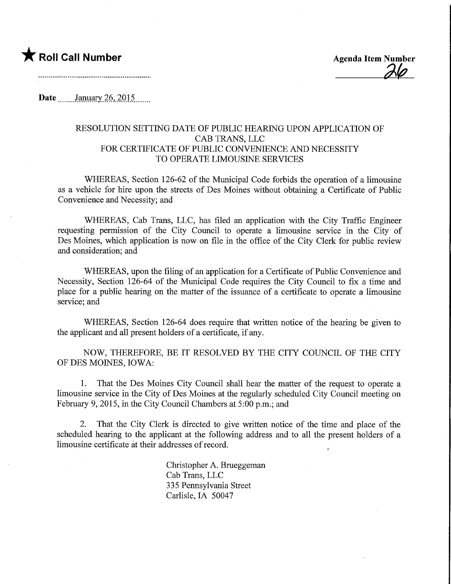## **T** Roll Call Number Agenda Item Number

Date January 26, 2015

## RESOLUTION SETTING DATE OF PUBLIC HEARING UPON APPLICATION OF CAB TRANS, LLC FOR CERTIFICATE OF PUBLIC CONVENIENCE AND NECESSITY TO OPERATE LIMOUSINE SERVICES

WHEREAS, Section 126-62 of the Municipal Code forbids the operation of a limousine as a vehicle for hire upon the streets of Des Moines without obtaining a Certificate of Public Convenience and Necessity; and

WHEREAS, Cab Trans, LLC, has filed an application with the City Traffic Engineer requesting permission of the City Council to operate a limousine service in the City of Des Moines, which application is now on file in the office of the City Clerk for public review and consideration; and

WHEREAS, upon the filing of an application for a Certificate of Public Convenience and Necessity, Section 126-64 of the Municipal Code requires the City Council to fix a time and place for a public hearing on the matter of the issuance of a certificate to operate a limousine service; and

WHEREAS, Section 126-64 does require that written notice of the hearing be given to the applicant and all present holders of a certificate, if any.

NOW, THEREFORE, BE IT RESOLVED BY THE CITY COUNCIL OF THE CITY OF DES MOINES, IOWA:

1. That the Des Moines City Council shall hear the matter of the request to operate a limousine service in the City of Des Moines at the regularly scheduled City Council meeting on February 9, 2015, in the City Council Chambers at 5:00 p.m.; and

2. That the City Clerk is directed to give written notice of the time and place of the scheduled hearing to the applicant at the following address and to all the present holders of a limousine certificate at their addresses of record.

> Christopher A. Brueggeman Cab Trans, LLC 335 Pennsylvania Street Carlisle, IA 50047